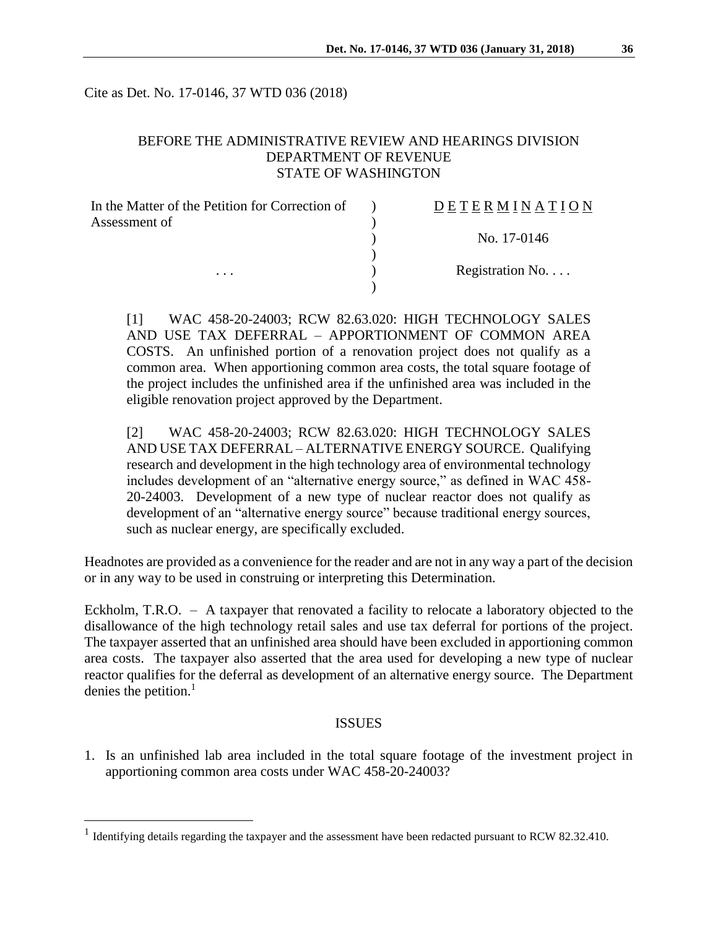Cite as Det. No. 17-0146, 37 WTD 036 (2018)

# BEFORE THE ADMINISTRATIVE REVIEW AND HEARINGS DIVISION DEPARTMENT OF REVENUE STATE OF WASHINGTON

| In the Matter of the Petition for Correction of | DETERMINATION   |
|-------------------------------------------------|-----------------|
| Assessment of                                   |                 |
|                                                 | No. 17-0146     |
|                                                 |                 |
| $\cdots$                                        | Registration No |
|                                                 |                 |

[1] WAC 458-20-24003; RCW 82.63.020: HIGH TECHNOLOGY SALES AND USE TAX DEFERRAL – APPORTIONMENT OF COMMON AREA COSTS. An unfinished portion of a renovation project does not qualify as a common area. When apportioning common area costs, the total square footage of the project includes the unfinished area if the unfinished area was included in the eligible renovation project approved by the Department.

[2] WAC 458-20-24003; RCW 82.63.020: HIGH TECHNOLOGY SALES AND USE TAX DEFERRAL – ALTERNATIVE ENERGY SOURCE. Qualifying research and development in the high technology area of environmental technology includes development of an "alternative energy source," as defined in WAC 458- 20-24003. Development of a new type of nuclear reactor does not qualify as development of an "alternative energy source" because traditional energy sources, such as nuclear energy, are specifically excluded.

Headnotes are provided as a convenience for the reader and are not in any way a part of the decision or in any way to be used in construing or interpreting this Determination.

Eckholm, T.R.O. – A taxpayer that renovated a facility to relocate a laboratory objected to the disallowance of the high technology retail sales and use tax deferral for portions of the project. The taxpayer asserted that an unfinished area should have been excluded in apportioning common area costs. The taxpayer also asserted that the area used for developing a new type of nuclear reactor qualifies for the deferral as development of an alternative energy source. The Department denies the petition.<sup>1</sup>

#### ISSUES

1. Is an unfinished lab area included in the total square footage of the investment project in apportioning common area costs under WAC 458-20-24003?

 $\overline{a}$ 

<sup>&</sup>lt;sup>1</sup> Identifying details regarding the taxpayer and the assessment have been redacted pursuant to RCW 82.32.410.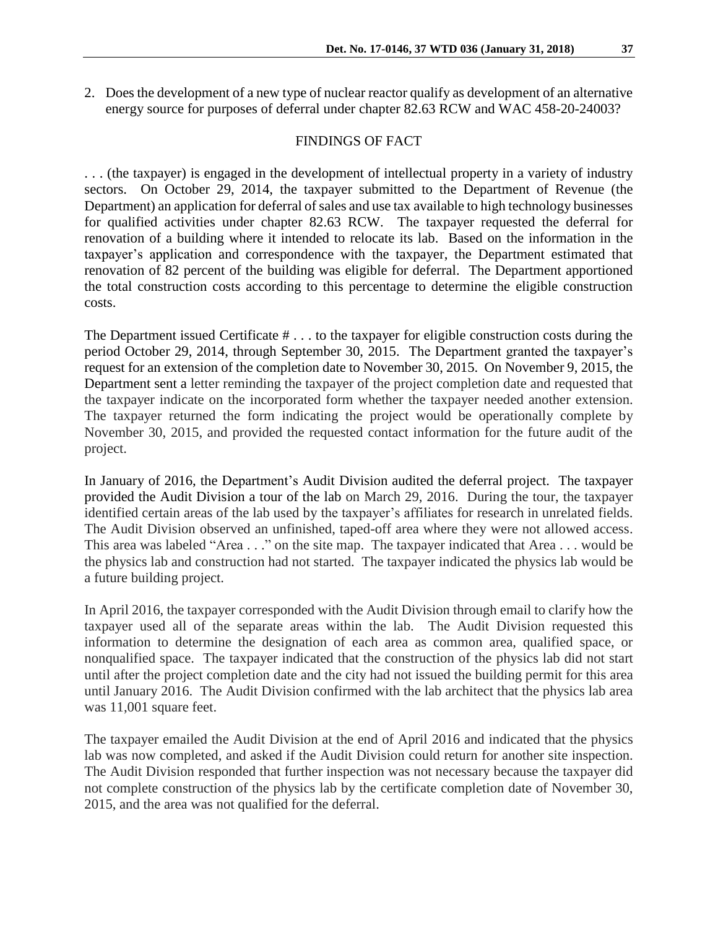2. Does the development of a new type of nuclear reactor qualify as development of an alternative energy source for purposes of deferral under chapter 82.63 RCW and WAC 458-20-24003?

#### FINDINGS OF FACT

. . . (the taxpayer) is engaged in the development of intellectual property in a variety of industry sectors. On October 29, 2014, the taxpayer submitted to the Department of Revenue (the Department) an application for deferral of sales and use tax available to high technology businesses for qualified activities under chapter 82.63 RCW. The taxpayer requested the deferral for renovation of a building where it intended to relocate its lab. Based on the information in the taxpayer's application and correspondence with the taxpayer, the Department estimated that renovation of 82 percent of the building was eligible for deferral. The Department apportioned the total construction costs according to this percentage to determine the eligible construction costs.

The Department issued Certificate # . . . to the taxpayer for eligible construction costs during the period October 29, 2014, through September 30, 2015. The Department granted the taxpayer's request for an extension of the completion date to November 30, 2015. On November 9, 2015, the Department sent a letter reminding the taxpayer of the project completion date and requested that the taxpayer indicate on the incorporated form whether the taxpayer needed another extension. The taxpayer returned the form indicating the project would be operationally complete by November 30, 2015, and provided the requested contact information for the future audit of the project.

In January of 2016, the Department's Audit Division audited the deferral project. The taxpayer provided the Audit Division a tour of the lab on March 29, 2016. During the tour, the taxpayer identified certain areas of the lab used by the taxpayer's affiliates for research in unrelated fields. The Audit Division observed an unfinished, taped-off area where they were not allowed access. This area was labeled "Area . . ." on the site map. The taxpayer indicated that Area . . . would be the physics lab and construction had not started. The taxpayer indicated the physics lab would be a future building project.

In April 2016, the taxpayer corresponded with the Audit Division through email to clarify how the taxpayer used all of the separate areas within the lab. The Audit Division requested this information to determine the designation of each area as common area, qualified space, or nonqualified space. The taxpayer indicated that the construction of the physics lab did not start until after the project completion date and the city had not issued the building permit for this area until January 2016. The Audit Division confirmed with the lab architect that the physics lab area was 11,001 square feet.

The taxpayer emailed the Audit Division at the end of April 2016 and indicated that the physics lab was now completed, and asked if the Audit Division could return for another site inspection. The Audit Division responded that further inspection was not necessary because the taxpayer did not complete construction of the physics lab by the certificate completion date of November 30, 2015, and the area was not qualified for the deferral.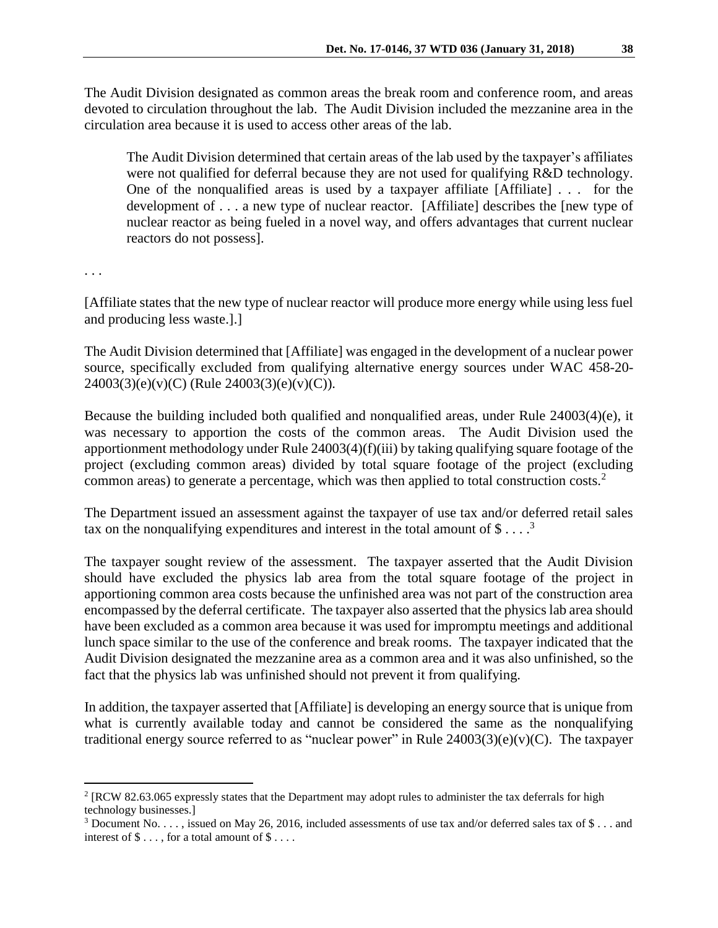The Audit Division designated as common areas the break room and conference room, and areas devoted to circulation throughout the lab. The Audit Division included the mezzanine area in the circulation area because it is used to access other areas of the lab.

The Audit Division determined that certain areas of the lab used by the taxpayer's affiliates were not qualified for deferral because they are not used for qualifying R&D technology. One of the nonqualified areas is used by a taxpayer affiliate  $[Affiliate]$ ... for the development of . . . a new type of nuclear reactor. [Affiliate] describes the [new type of nuclear reactor as being fueled in a novel way, and offers advantages that current nuclear reactors do not possess].

. . .

 $\overline{a}$ 

[Affiliate states that the new type of nuclear reactor will produce more energy while using less fuel and producing less waste.].]

The Audit Division determined that [Affiliate] was engaged in the development of a nuclear power source, specifically excluded from qualifying alternative energy sources under WAC 458-20-  $24003(3)(e)(v)(C)$  (Rule  $24003(3)(e)(v)(C)$ ).

Because the building included both qualified and nonqualified areas, under Rule 24003(4)(e), it was necessary to apportion the costs of the common areas. The Audit Division used the apportionment methodology under Rule 24003(4)(f)(iii) by taking qualifying square footage of the project (excluding common areas) divided by total square footage of the project (excluding common areas) to generate a percentage, which was then applied to total construction costs.<sup>2</sup>

The Department issued an assessment against the taxpayer of use tax and/or deferred retail sales tax on the nonqualifying expenditures and interest in the total amount of  $\$\dots$ <sup>3</sup>

The taxpayer sought review of the assessment. The taxpayer asserted that the Audit Division should have excluded the physics lab area from the total square footage of the project in apportioning common area costs because the unfinished area was not part of the construction area encompassed by the deferral certificate. The taxpayer also asserted that the physics lab area should have been excluded as a common area because it was used for impromptu meetings and additional lunch space similar to the use of the conference and break rooms. The taxpayer indicated that the Audit Division designated the mezzanine area as a common area and it was also unfinished, so the fact that the physics lab was unfinished should not prevent it from qualifying.

In addition, the taxpayer asserted that [Affiliate] is developing an energy source that is unique from what is currently available today and cannot be considered the same as the nonqualifying traditional energy source referred to as "nuclear power" in Rule 24003(3)(e)(v)(C). The taxpayer

 $2$  [RCW 82.63.065 expressly states that the Department may adopt rules to administer the tax deferrals for high technology businesses.]

<sup>3</sup> Document No. . . . , issued on May 26, 2016, included assessments of use tax and/or deferred sales tax of \$ . . . and interest of  $\$\dots$ , for a total amount of  $\$\dots$ .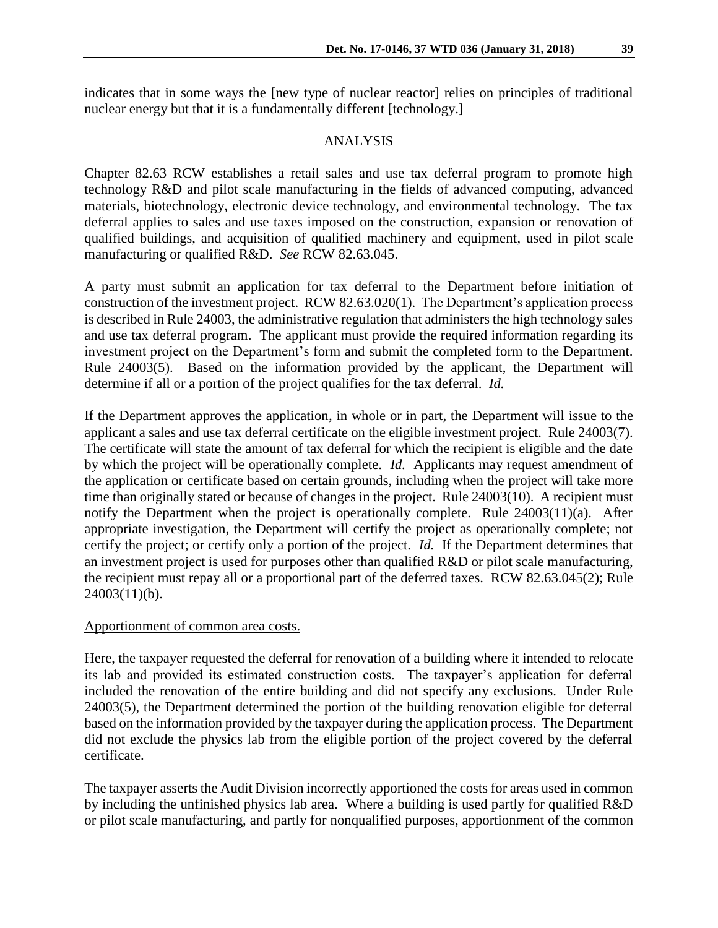indicates that in some ways the [new type of nuclear reactor] relies on principles of traditional nuclear energy but that it is a fundamentally different [technology.]

### ANALYSIS

Chapter 82.63 RCW establishes a retail sales and use tax deferral program to promote high technology R&D and pilot scale manufacturing in the fields of advanced computing, advanced materials, biotechnology, electronic device technology, and environmental technology. The tax deferral applies to sales and use taxes imposed on the construction, expansion or renovation of qualified buildings, and acquisition of qualified machinery and equipment, used in pilot scale manufacturing or qualified R&D. *See* RCW 82.63.045.

A party must submit an application for tax deferral to the Department before initiation of construction of the investment project. RCW 82.63.020(1). The Department's application process is described in Rule 24003, the administrative regulation that administers the high technology sales and use tax deferral program. The applicant must provide the required information regarding its investment project on the Department's form and submit the completed form to the Department. Rule 24003(5). Based on the information provided by the applicant, the Department will determine if all or a portion of the project qualifies for the tax deferral. *Id.*

If the Department approves the application, in whole or in part, the Department will issue to the applicant a sales and use tax deferral certificate on the eligible investment project. Rule 24003(7). The certificate will state the amount of tax deferral for which the recipient is eligible and the date by which the project will be operationally complete. *Id.* Applicants may request amendment of the application or certificate based on certain grounds, including when the project will take more time than originally stated or because of changes in the project. Rule 24003(10). A recipient must notify the Department when the project is operationally complete. Rule 24003(11)(a). After appropriate investigation, the Department will certify the project as operationally complete; not certify the project; or certify only a portion of the project. *Id.* If the Department determines that an investment project is used for purposes other than qualified R&D or pilot scale manufacturing, the recipient must repay all or a proportional part of the deferred taxes. RCW 82.63.045(2); Rule  $24003(11)(b)$ .

#### Apportionment of common area costs.

Here, the taxpayer requested the deferral for renovation of a building where it intended to relocate its lab and provided its estimated construction costs. The taxpayer's application for deferral included the renovation of the entire building and did not specify any exclusions. Under Rule 24003(5), the Department determined the portion of the building renovation eligible for deferral based on the information provided by the taxpayer during the application process. The Department did not exclude the physics lab from the eligible portion of the project covered by the deferral certificate.

The taxpayer asserts the Audit Division incorrectly apportioned the costs for areas used in common by including the unfinished physics lab area. Where a building is used partly for qualified R&D or pilot scale manufacturing, and partly for nonqualified purposes, apportionment of the common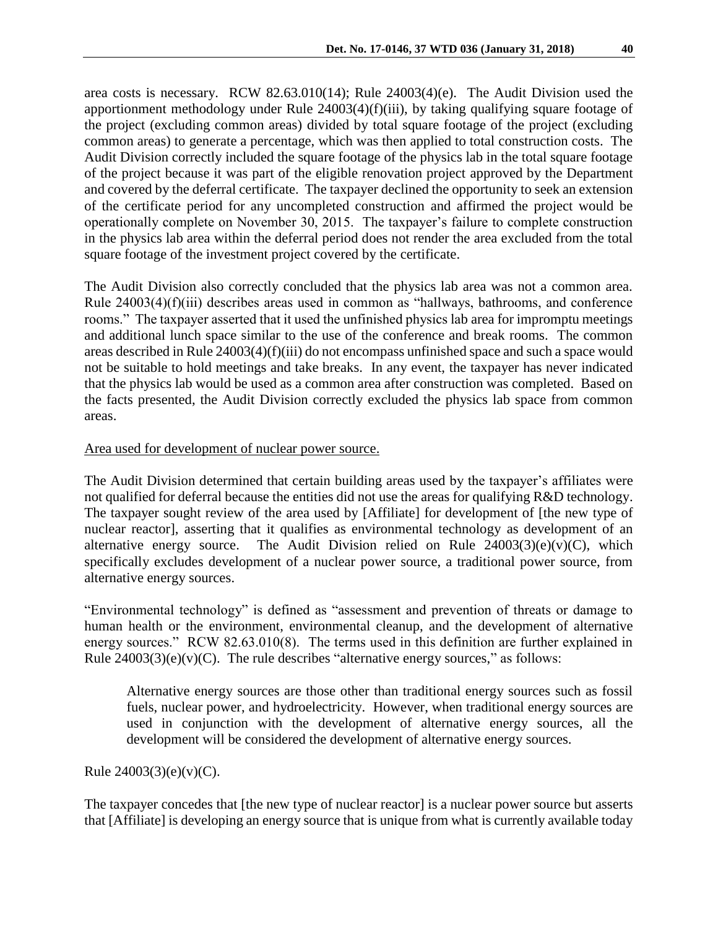area costs is necessary. RCW 82.63.010(14); Rule 24003(4)(e). The Audit Division used the apportionment methodology under Rule 24003(4)(f)(iii), by taking qualifying square footage of the project (excluding common areas) divided by total square footage of the project (excluding common areas) to generate a percentage, which was then applied to total construction costs. The Audit Division correctly included the square footage of the physics lab in the total square footage of the project because it was part of the eligible renovation project approved by the Department and covered by the deferral certificate. The taxpayer declined the opportunity to seek an extension of the certificate period for any uncompleted construction and affirmed the project would be operationally complete on November 30, 2015. The taxpayer's failure to complete construction in the physics lab area within the deferral period does not render the area excluded from the total square footage of the investment project covered by the certificate.

The Audit Division also correctly concluded that the physics lab area was not a common area. Rule 24003(4)(f)(iii) describes areas used in common as "hallways, bathrooms, and conference rooms." The taxpayer asserted that it used the unfinished physics lab area for impromptu meetings and additional lunch space similar to the use of the conference and break rooms. The common areas described in Rule 24003(4)(f)(iii) do not encompass unfinished space and such a space would not be suitable to hold meetings and take breaks. In any event, the taxpayer has never indicated that the physics lab would be used as a common area after construction was completed. Based on the facts presented, the Audit Division correctly excluded the physics lab space from common areas.

## Area used for development of nuclear power source.

The Audit Division determined that certain building areas used by the taxpayer's affiliates were not qualified for deferral because the entities did not use the areas for qualifying R&D technology. The taxpayer sought review of the area used by [Affiliate] for development of [the new type of nuclear reactor], asserting that it qualifies as environmental technology as development of an alternative energy source. The Audit Division relied on Rule  $24003(3)(e)(v)(C)$ , which specifically excludes development of a nuclear power source, a traditional power source, from alternative energy sources.

"Environmental technology" is defined as "assessment and prevention of threats or damage to human health or the environment, environmental cleanup, and the development of alternative energy sources." RCW 82.63.010(8). The terms used in this definition are further explained in Rule  $24003(3)(e)(v)(C)$ . The rule describes "alternative energy sources," as follows:

Alternative energy sources are those other than traditional energy sources such as fossil fuels, nuclear power, and hydroelectricity. However, when traditional energy sources are used in conjunction with the development of alternative energy sources, all the development will be considered the development of alternative energy sources.

Rule  $24003(3)(e)(v)(C)$ .

The taxpayer concedes that [the new type of nuclear reactor] is a nuclear power source but asserts that [Affiliate] is developing an energy source that is unique from what is currently available today